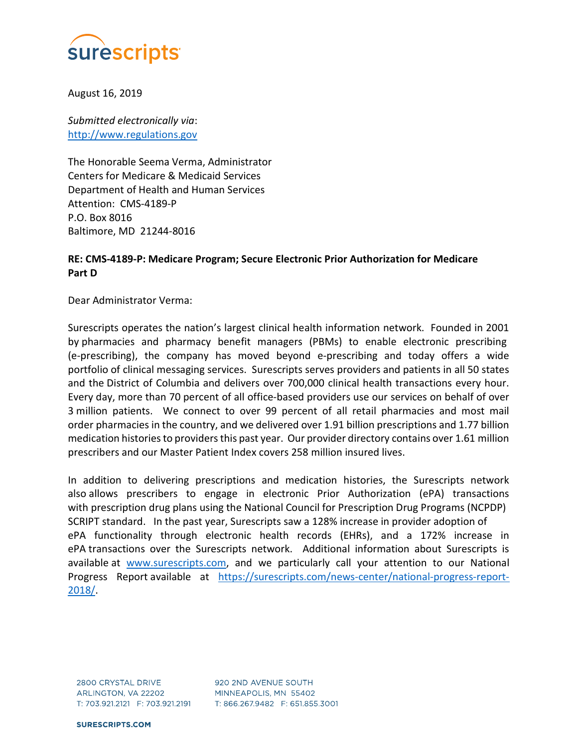

August 16, 2019

Submitted electronically via: http://www.regulations.gov

The Honorable Seema Verma, Administrator Centers for Medicare & Medicaid Services Department of Health and Human Services Attention: CMS-4189-P P.O. Box 8016 Baltimore, MD 21244-8016

## RE: CMS-4189-P: Medicare Program; Secure Electronic Prior Authorization for Medicare Part D

Dear Administrator Verma:

Surescripts operates the nation's largest clinical health information network. Founded in 2001 by pharmacies and pharmacy benefit managers (PBMs) to enable electronic prescribing (e-prescribing), the company has moved beyond e-prescribing and today offers a wide portfolio of clinical messaging services. Surescripts serves providers and patients in all 50 states and the District of Columbia and delivers over 700,000 clinical health transactions every hour. Every day, more than 70 percent of all office-based providers use our services on behalf of over 3 million patients. We connect to over 99 percent of all retail pharmacies and most mail order pharmacies in the country, and we delivered over 1.91 billion prescriptions and 1.77 billion medication histories to providers this past year. Our provider directory contains over 1.61 million prescribers and our Master Patient Index covers 258 million insured lives.

In addition to delivering prescriptions and medication histories, the Surescripts network also allows prescribers to engage in electronic Prior Authorization (ePA) transactions with prescription drug plans using the National Council for Prescription Drug Programs (NCPDP) SCRIPT standard. In the past year, Surescripts saw a 128% increase in provider adoption of ePA functionality through electronic health records (EHRs), and a 172% increase in ePA transactions over the Surescripts network. Additional information about Surescripts is available at www.surescripts.com, and we particularly call your attention to our National Progress Report available at https://surescripts.com/news-center/national-progress-report-2018/.

2800 CRYSTAL DRIVE ARLINGTON, VA 22202 T: 703.921.2121 F: 703.921.2191

920 2ND AVENUE SOUTH MINNEAPOLIS, MN 55402 T: 866.267.9482 F: 651.855.3001

**SURESCRIPTS.COM**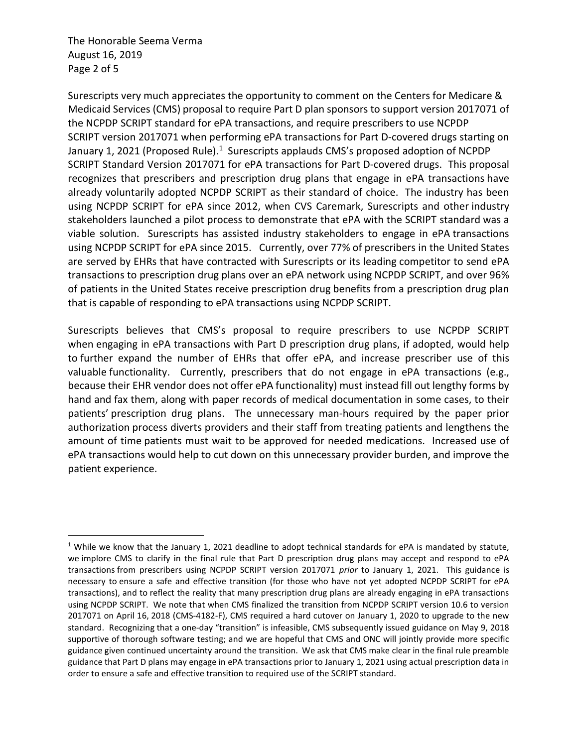The Honorable Seema Verma August 16, 2019 Page 2 of 5

 $\overline{a}$ 

Surescripts very much appreciates the opportunity to comment on the Centers for Medicare & Medicaid Services (CMS) proposal to require Part D plan sponsors to support version 2017071 of the NCPDP SCRIPT standard for ePA transactions, and require prescribers to use NCPDP SCRIPT version 2017071 when performing ePA transactions for Part D-covered drugs starting on January 1, 2021 (Proposed Rule).<sup>1</sup> Surescripts applauds CMS's proposed adoption of NCPDP SCRIPT Standard Version 2017071 for ePA transactions for Part D-covered drugs. This proposal recognizes that prescribers and prescription drug plans that engage in ePA transactions have already voluntarily adopted NCPDP SCRIPT as their standard of choice. The industry has been using NCPDP SCRIPT for ePA since 2012, when CVS Caremark, Surescripts and other industry stakeholders launched a pilot process to demonstrate that ePA with the SCRIPT standard was a viable solution. Surescripts has assisted industry stakeholders to engage in ePA transactions using NCPDP SCRIPT for ePA since 2015. Currently, over 77% of prescribers in the United States are served by EHRs that have contracted with Surescripts or its leading competitor to send ePA transactions to prescription drug plans over an ePA network using NCPDP SCRIPT, and over 96% of patients in the United States receive prescription drug benefits from a prescription drug plan that is capable of responding to ePA transactions using NCPDP SCRIPT.

Surescripts believes that CMS's proposal to require prescribers to use NCPDP SCRIPT when engaging in ePA transactions with Part D prescription drug plans, if adopted, would help to further expand the number of EHRs that offer ePA, and increase prescriber use of this valuable functionality. Currently, prescribers that do not engage in ePA transactions (e.g., because their EHR vendor does not offer ePA functionality) must instead fill out lengthy forms by hand and fax them, along with paper records of medical documentation in some cases, to their patients' prescription drug plans. The unnecessary man-hours required by the paper prior authorization process diverts providers and their staff from treating patients and lengthens the amount of time patients must wait to be approved for needed medications. Increased use of ePA transactions would help to cut down on this unnecessary provider burden, and improve the patient experience.

<sup>&</sup>lt;sup>1</sup> While we know that the January 1, 2021 deadline to adopt technical standards for ePA is mandated by statute, we implore CMS to clarify in the final rule that Part D prescription drug plans may accept and respond to ePA transactions from prescribers using NCPDP SCRIPT version 2017071 prior to January 1, 2021. This guidance is necessary to ensure a safe and effective transition (for those who have not yet adopted NCPDP SCRIPT for ePA transactions), and to reflect the reality that many prescription drug plans are already engaging in ePA transactions using NCPDP SCRIPT. We note that when CMS finalized the transition from NCPDP SCRIPT version 10.6 to version 2017071 on April 16, 2018 (CMS-4182-F), CMS required a hard cutover on January 1, 2020 to upgrade to the new standard. Recognizing that a one-day "transition" is infeasible, CMS subsequently issued guidance on May 9, 2018 supportive of thorough software testing; and we are hopeful that CMS and ONC will jointly provide more specific guidance given continued uncertainty around the transition. We ask that CMS make clear in the final rule preamble guidance that Part D plans may engage in ePA transactions prior to January 1, 2021 using actual prescription data in order to ensure a safe and effective transition to required use of the SCRIPT standard.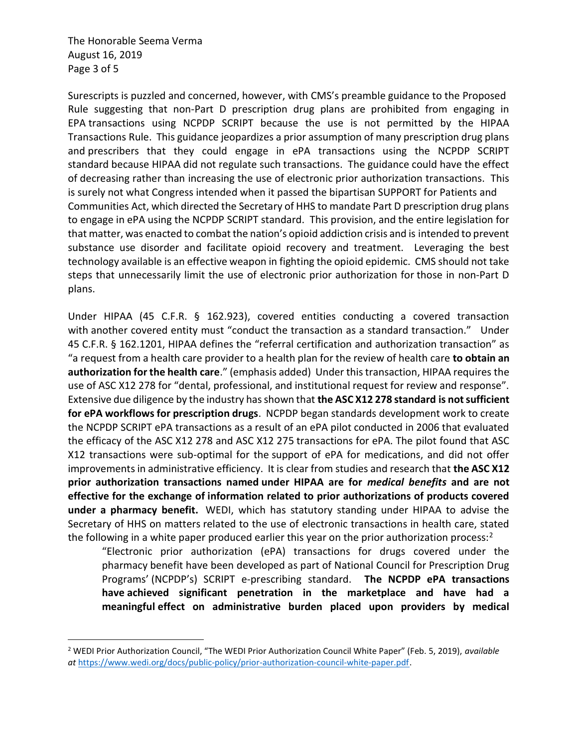The Honorable Seema Verma August 16, 2019 Page 3 of 5

 $\overline{a}$ 

Surescripts is puzzled and concerned, however, with CMS's preamble guidance to the Proposed Rule suggesting that non-Part D prescription drug plans are prohibited from engaging in EPA transactions using NCPDP SCRIPT because the use is not permitted by the HIPAA Transactions Rule. This guidance jeopardizes a prior assumption of many prescription drug plans and prescribers that they could engage in ePA transactions using the NCPDP SCRIPT standard because HIPAA did not regulate such transactions. The guidance could have the effect of decreasing rather than increasing the use of electronic prior authorization transactions. This is surely not what Congress intended when it passed the bipartisan SUPPORT for Patients and Communities Act, which directed the Secretary of HHS to mandate Part D prescription drug plans to engage in ePA using the NCPDP SCRIPT standard. This provision, and the entire legislation for that matter, was enacted to combat the nation's opioid addiction crisis and is intended to prevent substance use disorder and facilitate opioid recovery and treatment. Leveraging the best technology available is an effective weapon in fighting the opioid epidemic. CMS should not take steps that unnecessarily limit the use of electronic prior authorization for those in non-Part D plans.

Under HIPAA (45 C.F.R. § 162.923), covered entities conducting a covered transaction with another covered entity must "conduct the transaction as a standard transaction." Under 45 C.F.R. § 162.1201, HIPAA defines the "referral certification and authorization transaction" as "a request from a health care provider to a health plan for the review of health care to obtain an authorization for the health care." (emphasis added) Under this transaction, HIPAA requires the use of ASC X12 278 for "dental, professional, and institutional request for review and response". Extensive due diligence by the industry has shown that the ASC X12 278 standard is not sufficient for ePA workflows for prescription drugs. NCPDP began standards development work to create the NCPDP SCRIPT ePA transactions as a result of an ePA pilot conducted in 2006 that evaluated the efficacy of the ASC X12 278 and ASC X12 275 transactions for ePA. The pilot found that ASC X12 transactions were sub-optimal for the support of ePA for medications, and did not offer improvements in administrative efficiency. It is clear from studies and research that the ASC X12 prior authorization transactions named under HIPAA are for *medical benefits* and are not effective for the exchange of information related to prior authorizations of products covered under a pharmacy benefit. WEDI, which has statutory standing under HIPAA to advise the Secretary of HHS on matters related to the use of electronic transactions in health care, stated the following in a white paper produced earlier this year on the prior authorization process: $2$ 

"Electronic prior authorization (ePA) transactions for drugs covered under the pharmacy benefit have been developed as part of National Council for Prescription Drug Programs' (NCPDP's) SCRIPT e-prescribing standard. The NCPDP ePA transactions have achieved significant penetration in the marketplace and have had a meaningful effect on administrative burden placed upon providers by medical

<sup>&</sup>lt;sup>2</sup> WEDI Prior Authorization Council, "The WEDI Prior Authorization Council White Paper" (Feb. 5, 2019), available at https://www.wedi.org/docs/public-policy/prior-authorization-council-white-paper.pdf.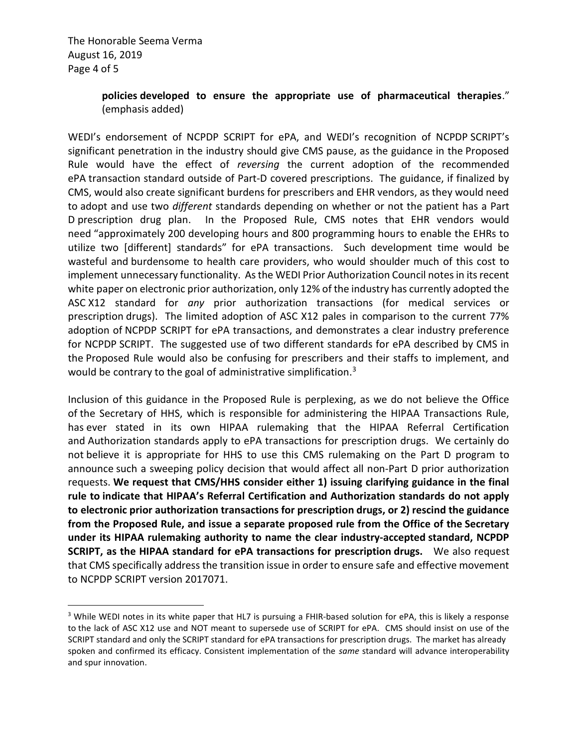$\overline{a}$ 

## policies developed to ensure the appropriate use of pharmaceutical therapies." (emphasis added)

WEDI's endorsement of NCPDP SCRIPT for ePA, and WEDI's recognition of NCPDP SCRIPT's significant penetration in the industry should give CMS pause, as the guidance in the Proposed Rule would have the effect of reversing the current adoption of the recommended ePA transaction standard outside of Part-D covered prescriptions. The guidance, if finalized by CMS, would also create significant burdens for prescribers and EHR vendors, as they would need to adopt and use two *different* standards depending on whether or not the patient has a Part D prescription drug plan. In the Proposed Rule, CMS notes that EHR vendors would need "approximately 200 developing hours and 800 programming hours to enable the EHRs to utilize two [different] standards" for ePA transactions. Such development time would be wasteful and burdensome to health care providers, who would shoulder much of this cost to implement unnecessary functionality. As the WEDI Prior Authorization Council notes in its recent white paper on electronic prior authorization, only 12% of the industry has currently adopted the ASC X12 standard for any prior authorization transactions (for medical services or prescription drugs). The limited adoption of ASC X12 pales in comparison to the current 77% adoption of NCPDP SCRIPT for ePA transactions, and demonstrates a clear industry preference for NCPDP SCRIPT. The suggested use of two different standards for ePA described by CMS in the Proposed Rule would also be confusing for prescribers and their staffs to implement, and would be contrary to the goal of administrative simplification.<sup>3</sup>

Inclusion of this guidance in the Proposed Rule is perplexing, as we do not believe the Office of the Secretary of HHS, which is responsible for administering the HIPAA Transactions Rule, has ever stated in its own HIPAA rulemaking that the HIPAA Referral Certification and Authorization standards apply to ePA transactions for prescription drugs. We certainly do not believe it is appropriate for HHS to use this CMS rulemaking on the Part D program to announce such a sweeping policy decision that would affect all non-Part D prior authorization requests. We request that CMS/HHS consider either 1) issuing clarifying guidance in the final rule to indicate that HIPAA's Referral Certification and Authorization standards do not apply to electronic prior authorization transactions for prescription drugs, or 2) rescind the guidance from the Proposed Rule, and issue a separate proposed rule from the Office of the Secretary under its HIPAA rulemaking authority to name the clear industry-accepted standard, NCPDP SCRIPT, as the HIPAA standard for ePA transactions for prescription drugs. We also request that CMS specifically address the transition issue in order to ensure safe and effective movement to NCPDP SCRIPT version 2017071.

<sup>&</sup>lt;sup>3</sup> While WEDI notes in its white paper that HL7 is pursuing a FHIR-based solution for ePA, this is likely a response to the lack of ASC X12 use and NOT meant to supersede use of SCRIPT for ePA. CMS should insist on use of the SCRIPT standard and only the SCRIPT standard for ePA transactions for prescription drugs. The market has already spoken and confirmed its efficacy. Consistent implementation of the same standard will advance interoperability and spur innovation.